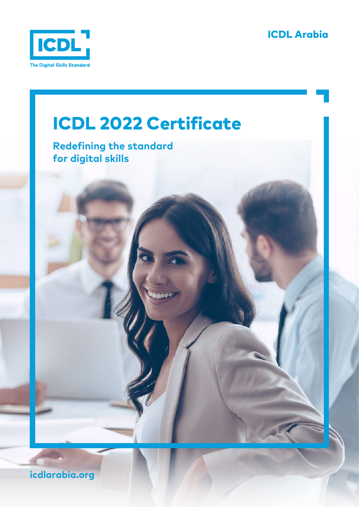





**icdlarabia.org**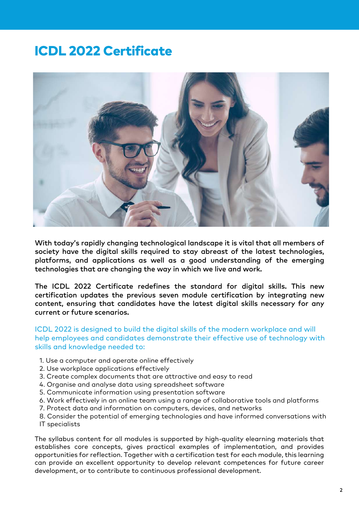## ICDL 2022 Certificate



With today's rapidly changing technological landscape it is vital that all members of society have the digital skills required to stay abreast of the latest technologies, platforms, and applications as well as a good understanding of the emerging technologies that are changing the way in which we live and work.

The ICDL 2022 Certificate redefines the standard for digital skills. This new certification updates the previous seven module certification by integrating new content, ensuring that candidates have the latest digital skills necessary for any current or future scenarios.

ICDL 2022 is designed to build the digital skills of the modern workplace and will help employees and candidates demonstrate their effective use of technology with skills and knowledge needed to:

- 1. Use a computer and operate online effectively
- 2. Use workplace applications effectively
- 3. Create complex documents that are attractive and easy to read
- 4. Organise and analyse data using spreadsheet software
- 5. Communicate information using presentation software
- 6. Work effectively in an online team using a range of collaborative tools and platforms
- 7. Protect data and information on computers, devices, and networks
- 8. Consider the potential of emerging technologies and have informed conversations with IT specialists

The syllabus content for all modules is supported by high-quality elearning materials that establishes core concepts, gives practical examples of implementation, and provides opportunities for reflection. Together with a certification test for each module, this learning can provide an excellent opportunity to develop relevant competences for future career development, or to contribute to continuous professional development.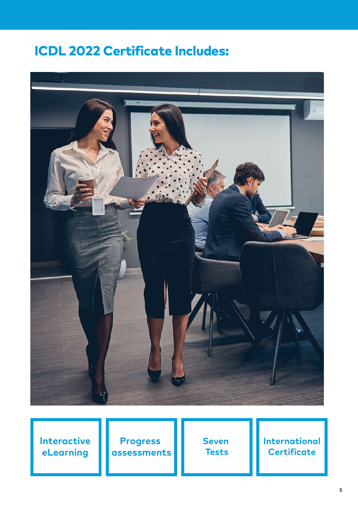## ICDL 2022 Certificate Includes:



**Interactive eLearning**

**Progress assessments** **Seven Tests**

**International Certificate**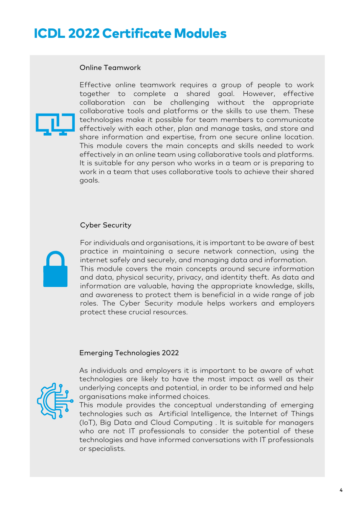## ICDL 2022 Certificate Modules

#### Online Teamwork



Effective online teamwork requires a group of people to work together to complete a shared goal. However, effective collaboration can be challenging without the appropriate collaborative tools and platforms or the skills to use them. These technologies make it possible for team members to communicate effectively with each other, plan and manage tasks, and store and share information and expertise, from one secure online location. This module covers the main concepts and skills needed to work effectively in an online team using collaborative tools and platforms. It is suitable for any person who works in a team or is preparing to work in a team that uses collaborative tools to achieve their shared goals.

#### Cyber Security



For individuals and organisations, it is important to be aware of best practice in maintaining a secure network connection, using the internet safely and securely, and managing data and information. This module covers the main concepts around secure information and data, physical security, privacy, and identity theft. As data and information are valuable, having the appropriate knowledge, skills, and awareness to protect them is beneficial in a wide range of job roles. The Cyber Security module helps workers and employers protect these crucial resources.

#### Emerging Technologies 2022



As individuals and employers it is important to be aware of what technologies are likely to have the most impact as well as their underlying concepts and potential, in order to be informed and help organisations make informed choices.

This module provides the conceptual understanding of emerging technologies such as Artificial Intelligence, the Internet of Things (IoT), Big Data and Cloud Computing . It is suitable for managers who are not IT professionals to consider the potential of these technologies and have informed conversations with IT professionals or specialists.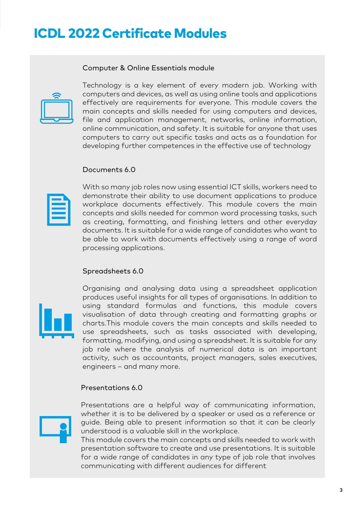## ICDL 2022 Certificate Modules

#### Computer & Online Essentials module



Technology is a key element of every modern job. Working with computers and devices, as well as using online tools and applications effectively are requirements for everyone. This module covers the main concepts and skills needed for using computers and devices, file and application management, networks, online information, online communication, and safety. It is suitable for anyone that uses computers to carry out specific tasks and acts as a foundation for developing further competences in the effective use of technology

#### Documents 6.0

With so many job roles now using essential ICT skills, workers need to demonstrate their ability to use document applications to produce workplace documents effectively. This module covers the main concepts and skills needed for common word processing tasks, such as creating, formatting, and finishing letters and other everyday documents. It is suitable for a wide range of candidates who want to be able to work with documents effectively using a range of word processing applications.

#### Spreadsheets 6.0



Organising and analysing data using a spreadsheet application produces useful insights for all types of organisations. In addition to using standard formulas and functions, this module covers visualisation of data through creating and formatting graphs or charts.This module covers the main concepts and skills needed to use spreadsheets, such as tasks associated with developing, formatting, modifying, and using a spreadsheet. It is suitable for any job role where the analysis of numerical data is an important activity, such as accountants, project managers, sales executives, engineers – and many more.

#### Presentations 6.0



Presentations are a helpful way of communicating information, whether it is to be delivered by a speaker or used as a reference or guide. Being able to present information so that it can be clearly understood is a valuable skill in the workplace.

This module covers the main concepts and skills needed to work with presentation software to create and use presentations. It is suitable for a wide range of candidates in any type of job role that involves communicating with different audiences for different